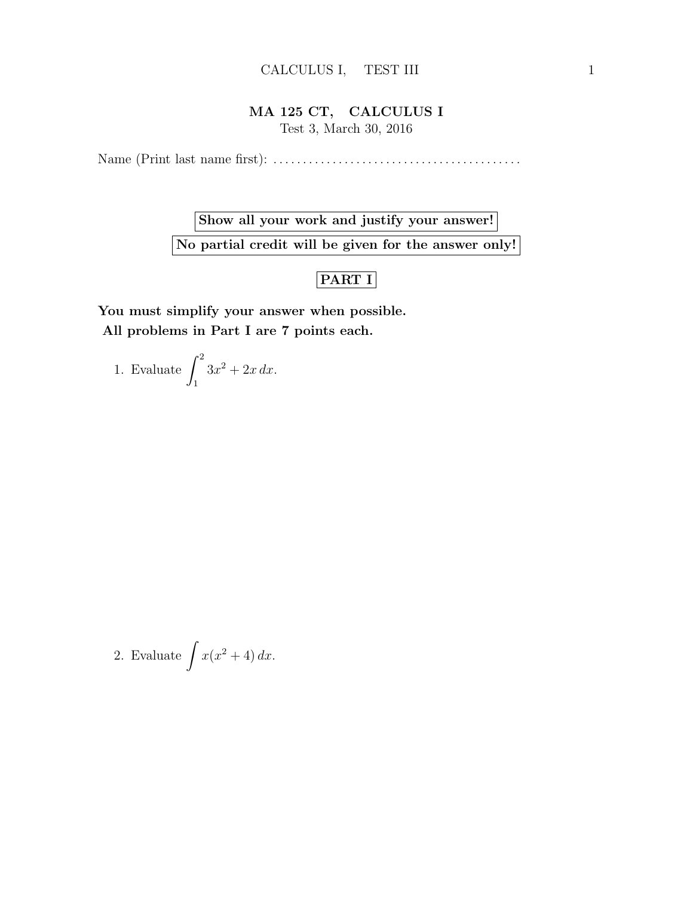## MA 125 CT, CALCULUS I

Test 3, March 30, 2016

Name (Print last name first): . . . . . . . . . . . . . . . . . . . . . . . . . . . . . . . . . . . . . . . . . .

Show all your work and justify your answer! No partial credit will be given for the answer only!

## PART I

You must simplify your answer when possible. All problems in Part I are 7 points each.

1. Evaluate  $\int_0^2$ 1  $3x^2+2x dx$ .

2. Evaluate 
$$
\int x(x^2 + 4) dx
$$
.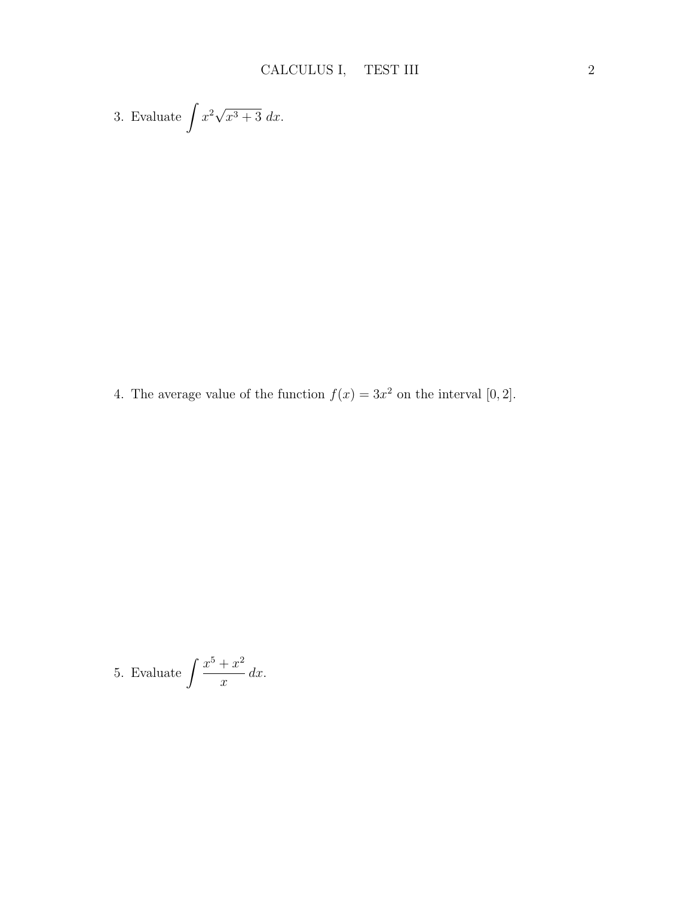3. Evaluate 
$$
\int x^2 \sqrt{x^3 + 3} \ dx
$$
.

4. The average value of the function  $f(x) = 3x^2$  on the interval [0, 2].

5. Evaluate 
$$
\int \frac{x^5 + x^2}{x} dx.
$$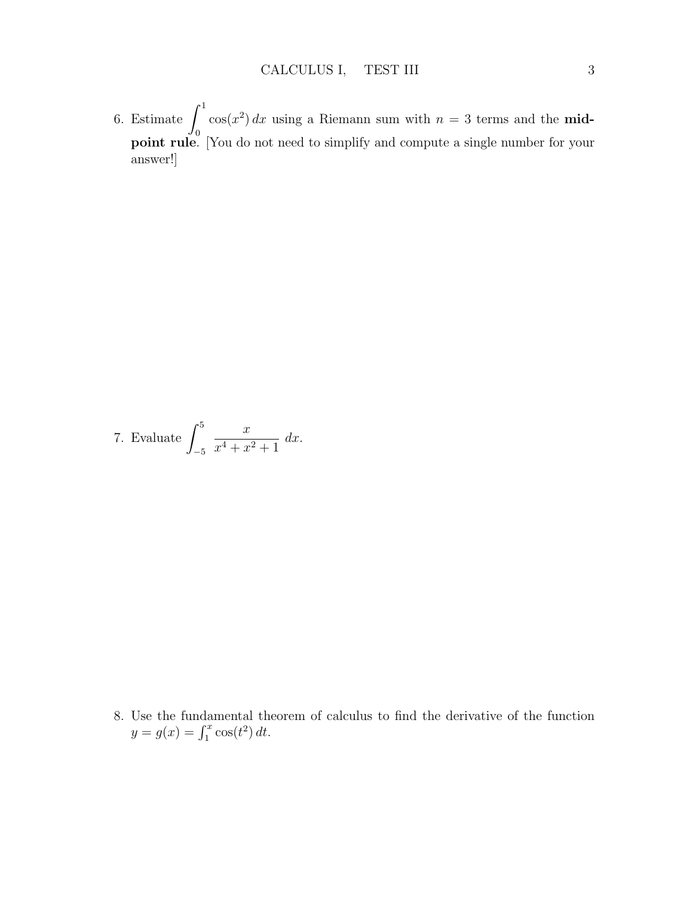6. Estimate  $\int_1^1$  $\boldsymbol{0}$  $cos(x^2) dx$  using a Riemann sum with  $n = 3$  terms and the **mid**point rule. [You do not need to simplify and compute a single number for your answer!]

7. Evaluate 
$$
\int_{-5}^{5} \frac{x}{x^4 + x^2 + 1} dx
$$
.

8. Use the fundamental theorem of calculus to find the derivative of the function  $y = g(x) = \int_1^x \cos(t^2) dt.$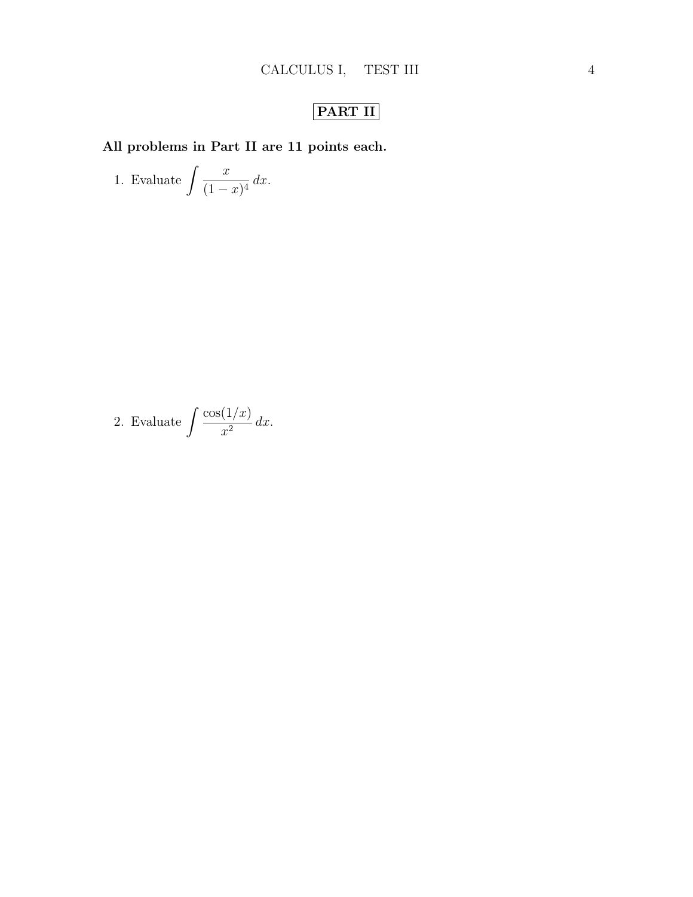## PART II

All problems in Part II are 11 points each.

1. Evaluate 
$$
\int \frac{x}{(1-x)^4} dx.
$$

2. Evaluate 
$$
\int \frac{\cos(1/x)}{x^2} dx.
$$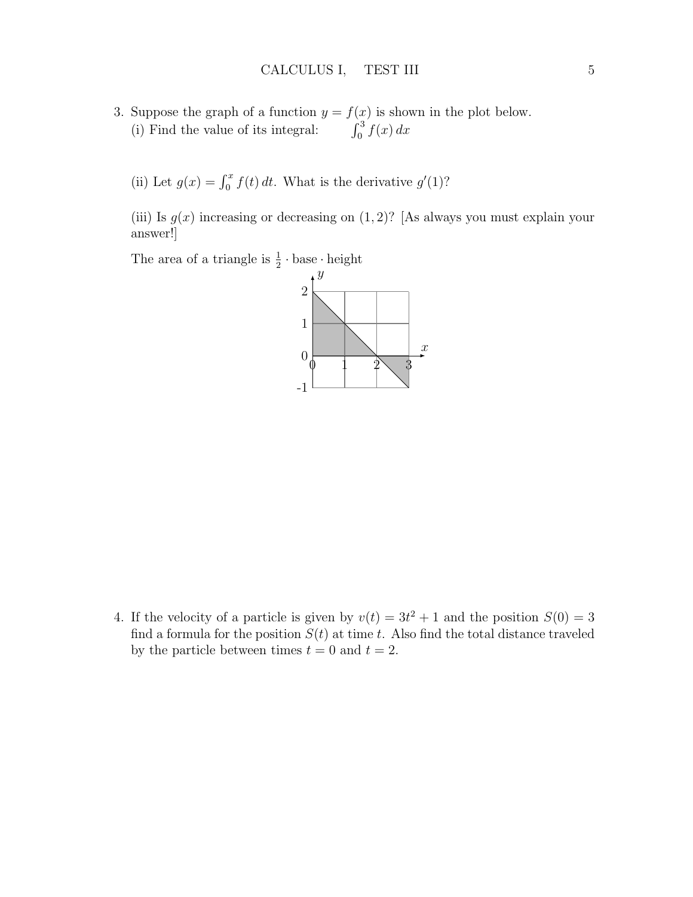- 3. Suppose the graph of a function  $y = f(x)$  is shown in the plot below. (i) Find the value of its integral:  $\int_0^3 f(x) dx$ 
	- (ii) Let  $g(x) = \int_0^x f(t) dt$ . What is the derivative  $g'(1)$ ?

(iii) Is  $g(x)$  increasing or decreasing on  $(1, 2)$ ? [As always you must explain your answer!]

The area of a triangle is  $\frac{1}{2} \cdot \text{base} \cdot \text{height}$ 



4. If the velocity of a particle is given by  $v(t) = 3t^2 + 1$  and the position  $S(0) = 3$ find a formula for the position  $S(t)$  at time t. Also find the total distance traveled by the particle between times  $t = 0$  and  $t = 2$ .